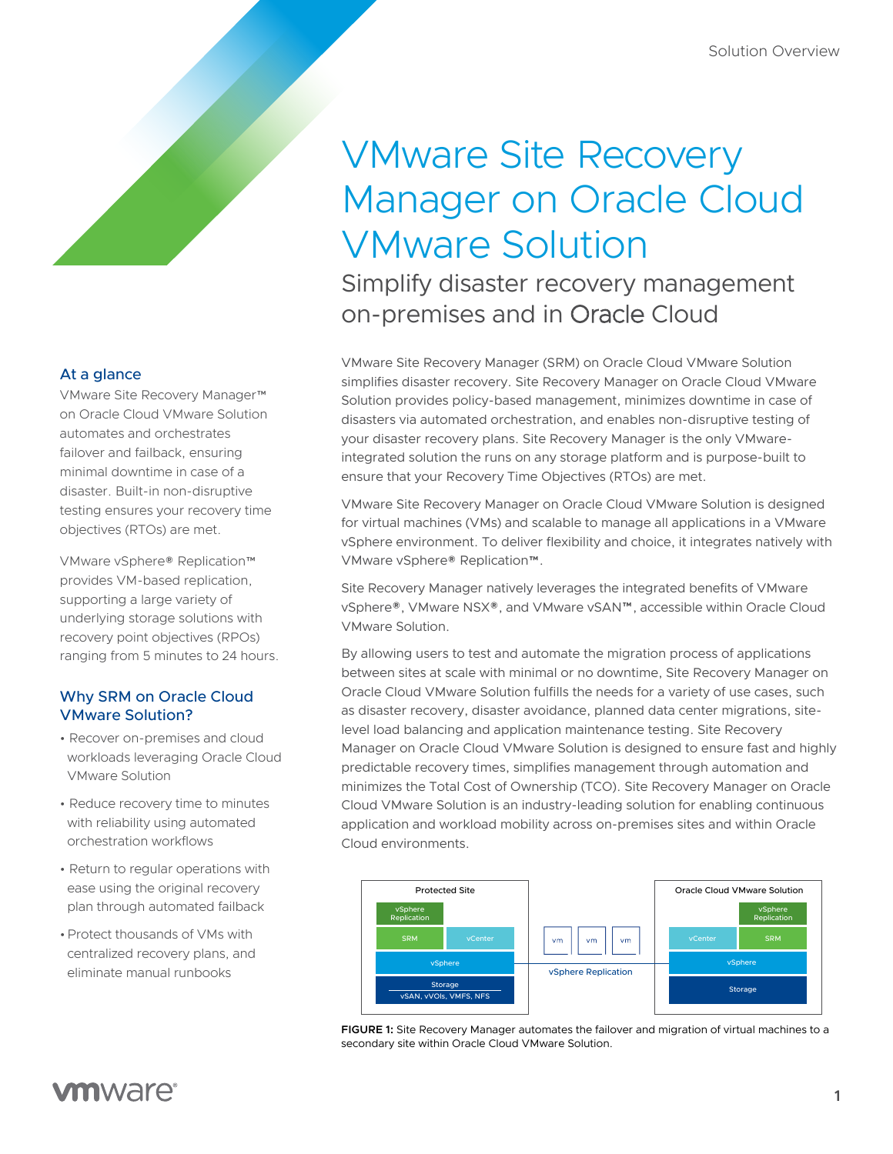# VMware Site Recovery Manager on Oracle Cloud VMware Solution

Simplify disaster recovery management on-premises and in Oracle Cloud

VMware Site Recovery Manager (SRM) on Oracle Cloud VMware Solution simplifies disaster recovery. Site Recovery Manager on Oracle Cloud VMware Solution provides policy-based management, minimizes downtime in case of disasters via automated orchestration, and enables non-disruptive testing of your disaster recovery plans. Site Recovery Manager is the only VMwareintegrated solution the runs on any storage platform and is purpose-built to ensure that your Recovery Time Objectives (RTOs) are met.

VMware Site Recovery Manager on Oracle Cloud VMware Solution is designed for virtual machines (VMs) and scalable to manage all applications in a VMware vSphere environment. To deliver flexibility and choice, it integrates natively with VMware vSphere® Replication™.

Site Recovery Manager natively leverages the integrated benefits of VMware vSphere®, VMware NSX®, and VMware vSAN™, accessible within Oracle Cloud VMware Solution.

By allowing users to test and automate the migration process of applications between sites at scale with minimal or no downtime, Site Recovery Manager on Oracle Cloud VMware Solution fulfills the needs for a variety of use cases, such as disaster recovery, disaster avoidance, planned data center migrations, sitelevel load balancing and application maintenance testing. Site Recovery Manager on Oracle Cloud VMware Solution is designed to ensure fast and highly predictable recovery times, simplifies management through automation and minimizes the Total Cost of Ownership (TCO). Site Recovery Manager on Oracle Cloud VMware Solution is an industry-leading solution for enabling continuous application and workload mobility across on-premises sites and within Oracle Cloud environments.



**FIGURE 1:** Site Recovery Manager automates the failover and migration of virtual machines to a secondary site within Oracle Cloud VMware Solution.

## At a glance

VMware Site Recovery Manager™ on Oracle Cloud VMware Solution automates and orchestrates failover and failback, ensuring minimal downtime in case of a disaster. Built-in non-disruptive testing ensures your recovery time objectives (RTOs) are met.

VMware vSphere® Replication™ provides VM-based replication, supporting a large variety of underlying storage solutions with recovery point objectives (RPOs) ranging from 5 minutes to 24 hours.

## Why SRM on Oracle Cloud VMware Solution?

- Recover on-premises and cloud workloads leveraging Oracle Cloud VMware Solution
- Reduce recovery time to minutes with reliability using automated orchestration workflows
- Return to regular operations with ease using the original recovery plan through automated failback
- •Protect thousands of VMs with centralized recovery plans, and eliminate manual runbooks